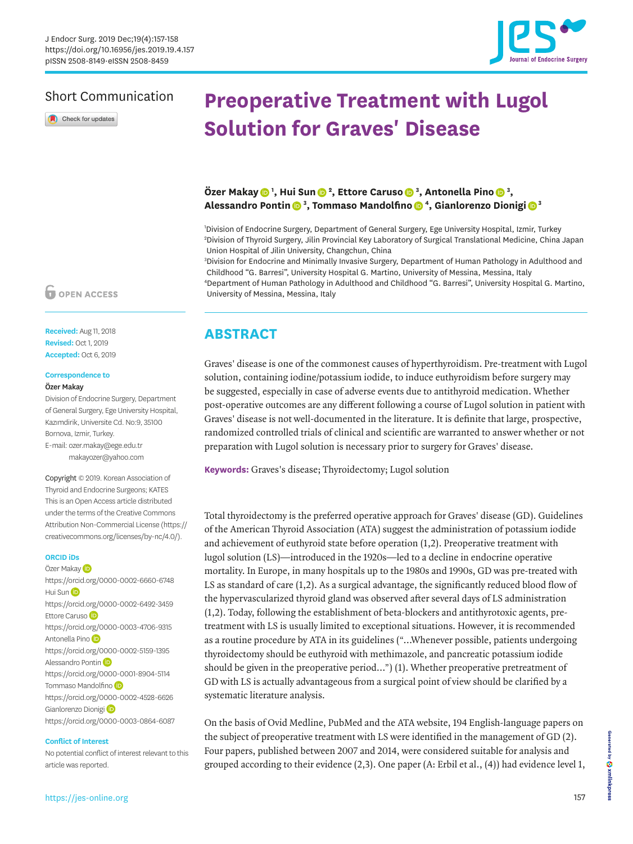

## Short Communication

Check for updates

# **Preoperative Treatment with Lugol Solution for Graves' Disease**

### **Özer Maka[y](https://orcid.org/0000-0002-6660-6748) <sup>1</sup> , Hui Su[n](https://orcid.org/0000-0002-6492-3459) <sup>2</sup> , Ettore Carus[o](https://orcid.org/0000-0003-4706-9315) <sup>3</sup> , Antonella Pin[o](https://orcid.org/0000-0002-5159-1395) <sup>3</sup> , Alessandro Ponti[n](https://orcid.org/0000-0001-8904-5114) <sup>3</sup> , Tommaso Mandolfin[o](https://orcid.org/0000-0002-4528-6626) <sup>4</sup> , Gianlorenzo Dionig[i](https://orcid.org/0000-0003-0864-6087) <sup>3</sup>**

1 Division of Endocrine Surgery, Department of General Surgery, Ege University Hospital, Izmir, Turkey 2 Division of Thyroid Surgery, Jilin Provincial Key Laboratory of Surgical Translational Medicine, China Japan Union Hospital of Jilin University, Changchun, China

3 Division for Endocrine and Minimally Invasive Surgery, Department of Human Pathology in Adulthood and Childhood "G. Barresi", University Hospital G. Martino, University of Messina, Messina, Italy 4 Department of Human Pathology in Adulthood and Childhood "G. Barresi", University Hospital G. Martino, University of Messina, Messina, Italy

## **ABSTRACT**

Graves' disease is one of the commonest causes of hyperthyroidism. Pre-treatment with Lugol solution, containing iodine/potassium iodide, to induce euthyroidism before surgery may be suggested, especially in case of adverse events due to antithyroid medication. Whether post-operative outcomes are any different following a course of Lugol solution in patient with Graves' disease is not well-documented in the literature. It is definite that large, prospective, randomized controlled trials of clinical and scientific are warranted to answer whether or not preparation with Lugol solution is necessary prior to surgery for Graves' disease.

**Keywords:** Graves's disease; Thyroidectomy; Lugol solution

Total thyroidectomy is the preferred operative approach for Graves' disease (GD). Guidelines of the American Thyroid Association (ATA) suggest the administration of potassium iodide and achievement of euthyroid state before operation ([1,](#page-1-0)[2\)](#page-1-1). Preoperative treatment with lugol solution (LS)—introduced in the 1920s—led to a decline in endocrine operative mortality. In Europe, in many hospitals up to the 1980s and 1990s, GD was pre-treated with LS as standard of care [\(1](#page-1-0)[,2\)](#page-1-1). As a surgical advantage, the significantly reduced blood flow of the hypervascularized thyroid gland was observed after several days of LS administration ([1](#page-1-0)[,2\)](#page-1-1). Today, following the establishment of beta-blockers and antithyrotoxic agents, pretreatment with LS is usually limited to exceptional situations. However, it is recommended as a routine procedure by ATA in its guidelines ("…Whenever possible, patients undergoing thyroidectomy should be euthyroid with methimazole, and pancreatic potassium iodide should be given in the preoperative period…") ([1\)](#page-1-0). Whether preoperative pretreatment of GD with LS is actually advantageous from a surgical point of view should be clarified by a systematic literature analysis.

On the basis of Ovid Medline, PubMed and the ATA website, 194 English-language papers on the subject of preoperative treatment with LS were identified in the management of GD ([2](#page-1-1)). Four papers, published between 2007 and 2014, were considered suitable for analysis and grouped according to their evidence [\(2,](#page-1-1)[3](#page-1-2)). One paper (A: Erbil et al., [\(4\)](#page-1-3)) had evidence level 1,

## **OPEN ACCESS**

**Received:** Aug 11, 2018 **Revised:** Oct 1, 2019 **Accepted:** Oct 6, 2019

# **Correspondence to**

#### Özer Makay

Division of Endocrine Surgery, Department of General Surgery, Ege University Hospital, Kazımdirik, Universite Cd. No:9, 35100 Bornova, Izmir, Turkey. E-mail: ozer.makay@ege.edu.tr

makayozer@yahoo.com

Copyright © 2019. Korean Association of Thyroid and Endocrine Surgeons; KATES This is an Open Access article distributed under the terms of the Creative Commons Attribution Non-Commercial License [\(https://](https://creativecommons.org/licenses/by-nc/4.0/) [creativecommons.org/licenses/by-nc/4.0/](https://creativecommons.org/licenses/by-nc/4.0/)).

#### **ORCID iDs**

Özer Makay<sup>D</sup> <https://orcid.org/0000-0002-6660-6748> Hui Su[n](https://orcid.org/0000-0002-6492-3459) (D <https://orcid.org/0000-0002-6492-3459> Ettore Caruso<sup>D</sup> <https://orcid.org/0000-0003-4706-9315> Antonella Pino <https://orcid.org/0000-0002-5159-1395> Alessandro Ponti[n](https://orcid.org/0000-0001-8904-5114) (D <https://orcid.org/0000-0001-8904-5114> Tommas[o](https://orcid.org/0000-0002-4528-6626) Mandolfino <https://orcid.org/0000-0002-4528-6626> Gianlorenzo Dionigi<sup>D</sup> <https://orcid.org/0000-0003-0864-6087>

#### **Conflict of Interest**

No potential conflict of interest relevant to this article was reported.